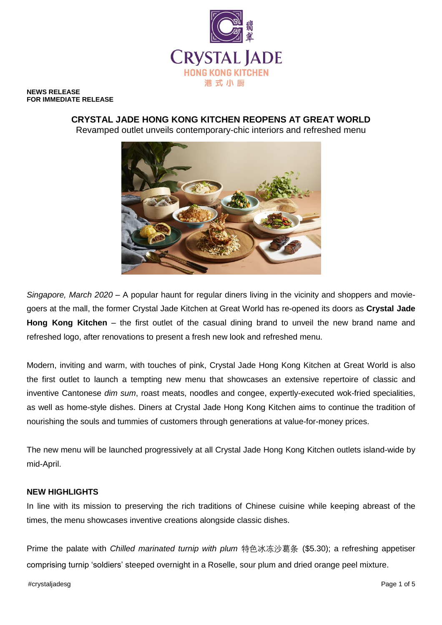

**NEWS RELEASE FOR IMMEDIATE RELEASE**

> **CRYSTAL JADE HONG KONG KITCHEN REOPENS AT GREAT WORLD**  Revamped outlet unveils contemporary-chic interiors and refreshed menu



*Singapore, March 2020* – A popular haunt for regular diners living in the vicinity and shoppers and moviegoers at the mall, the former Crystal Jade Kitchen at Great World has re-opened its doors as **Crystal Jade Hong Kong Kitchen** – the first outlet of the casual dining brand to unveil the new brand name and refreshed logo, after renovations to present a fresh new look and refreshed menu.

Modern, inviting and warm, with touches of pink, Crystal Jade Hong Kong Kitchen at Great World is also the first outlet to launch a tempting new menu that showcases an extensive repertoire of classic and inventive Cantonese *dim sum*, roast meats, noodles and congee, expertly-executed wok-fried specialities, as well as home-style dishes. Diners at Crystal Jade Hong Kong Kitchen aims to continue the tradition of nourishing the souls and tummies of customers through generations at value-for-money prices.

The new menu will be launched progressively at all Crystal Jade Hong Kong Kitchen outlets island-wide by mid-April.

## **NEW HIGHLIGHTS**

In line with its mission to preserving the rich traditions of Chinese cuisine while keeping abreast of the times, the menu showcases inventive creations alongside classic dishes.

Prime the palate with *Chilled marinated turnip with plum* 特色冰冻沙葛条 (\$5.30); a refreshing appetiser comprising turnip 'soldiers' steeped overnight in a Roselle, sour plum and dried orange peel mixture.

#crystaljadesg Page 1 of 5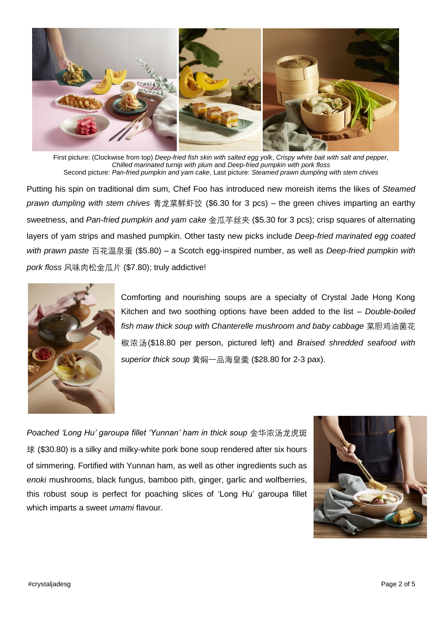

First picture: (Clockwise from top) *Deep-fried fish skin with salted egg yolk*, *Crispy white bait with salt and pepper*, *Chilled marinated turnip with plum* and *Deep-fried pumpkin with pork floss* Second picture: *Pan-fried pumpkin and yam cake*, Last picture: *Steamed prawn dumpling with stem chives*

Putting his spin on traditional dim sum, Chef Foo has introduced new moreish items the likes of *Steamed prawn dumpling with stem chives* 青龙菜鲜虾饺 (\$6.30 for 3 pcs) – the green chives imparting an earthy sweetness, and *Pan-fried pumpkin and yam cake* 金瓜芋丝夹 (\$5.30 for 3 pcs); crisp squares of alternating layers of yam strips and mashed pumpkin. Other tasty new picks include *Deep-fried marinated egg coated with prawn paste* 百花温泉蛋 (\$5.80) – a Scotch egg-inspired number, as well as *Deep-fried pumpkin with pork floss* 风味肉松金瓜片 (\$7.80); truly addictive!



Comforting and nourishing soups are a specialty of Crystal Jade Hong Kong Kitchen and two soothing options have been added to the list – *Double-boiled fish maw thick soup with Chanterelle mushroom and baby cabbage* 菜胆鸡油菌花 椒浓汤(\$18.80 per person, pictured left) and *Braised shredded seafood with superior thick soup* 黄焖一品海皇羮 (\$28.80 for 2-3 pax).

*Poached 'Long Hu' garoupa fillet 'Yunnan' ham in thick soup* 金华浓汤龙虎斑 球 (\$30.80) is a silky and milky-white pork bone soup rendered after six hours of simmering. Fortified with Yunnan ham, as well as other ingredients such as *enoki* mushrooms, black fungus, bamboo pith, ginger, garlic and wolfberries, this robust soup is perfect for poaching slices of 'Long Hu' garoupa fillet which imparts a sweet *umami* flavour.

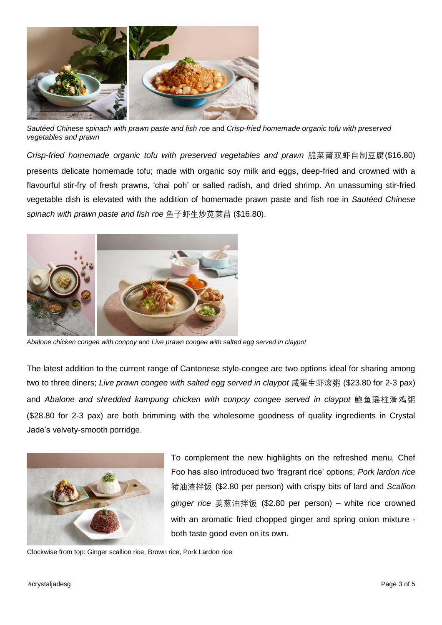

*Sautéed Chinese spinach with prawn paste and fish roe* and *Crisp-fried homemade organic tofu with preserved vegetables and prawn*

*Crisp-fried homemade organic tofu with preserved vegetables and prawn* 脆菜莆双虾自制豆腐(\$16.80) presents delicate homemade tofu; made with organic soy milk and eggs, deep-fried and crowned with a flavourful stir-fry of fresh prawns, 'chai poh' or salted radish, and dried shrimp. An unassuming stir-fried vegetable dish is elevated with the addition of homemade prawn paste and fish roe in *Sautéed Chinese spinach with prawn paste and fish roe* 鱼子虾生炒苋菜苗 (\$16.80).



*Abalone chicken congee with conpoy* and *Live prawn congee with salted egg served in claypot* 

The latest addition to the current range of Cantonese style-congee are two options ideal for sharing among two to three diners; *Live prawn congee with salted egg served in claypot* 咸蛋生虾滚粥 (\$23.80 for 2-3 pax) and *Abalone and shredded kampung chicken with conpoy congee served in claypot* 鲍鱼瑶柱滑鸡粥 (\$28.80 for 2-3 pax) are both brimming with the wholesome goodness of quality ingredients in Crystal Jade's velvety-smooth porridge.



To complement the new highlights on the refreshed menu, Chef Foo has also introduced two 'fragrant rice' options; *Pork lardon rice* 猪油渣拌饭 (\$2.80 per person) with crispy bits of lard and *Scallion ginger rice* 姜葱油拌饭 (\$2.80 per person) – white rice crowned with an aromatic fried chopped ginger and spring onion mixture both taste good even on its own.

Clockwise from top: Ginger scallion rice, Brown rice, Pork Lardon rice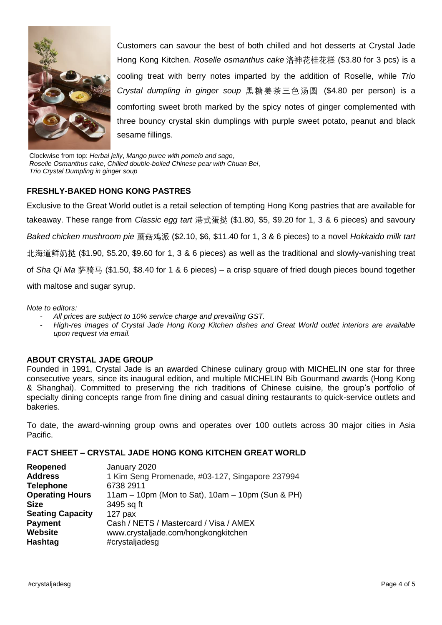

Customers can savour the best of both chilled and hot desserts at Crystal Jade Hong Kong Kitchen. *Roselle osmanthus cake* 洛神花桂花糕 (\$3.80 for 3 pcs) is a cooling treat with berry notes imparted by the addition of Roselle, while *Trio Crystal dumpling in ginger soup* 黑糖姜茶三色汤圆 (\$4.80 per person) is a comforting sweet broth marked by the spicy notes of ginger complemented with three bouncy crystal skin dumplings with purple sweet potato, peanut and black sesame fillings.

Clockwise from top: *Herbal jelly*, *Mango puree with pomelo and sago*, *Roselle Osmanthus cake*, *Chilled double-boiled Chinese pear with Chuan Bei*, *Trio Crystal Dumpling in ginger soup*

# **FRESHLY-BAKED HONG KONG PASTRES**

Exclusive to the Great World outlet is a retail selection of tempting Hong Kong pastries that are available for takeaway. These range from *Classic egg tart* 港式蛋挞 (\$1.80, \$5, \$9.20 for 1, 3 & 6 pieces) and savoury *Baked chicken mushroom pie* 蘑菇鸡派 (\$2.10, \$6, \$11.40 for 1, 3 & 6 pieces) to a novel *Hokkaido milk tart*  北海道鲜奶挞 (\$1.90, \$5.20, \$9.60 for 1, 3 & 6 pieces) as well as the traditional and slowly-vanishing treat of *Sha Qi Ma* 萨骑马 (\$1.50, \$8.40 for 1 & 6 pieces) – a crisp square of fried dough pieces bound together with maltose and sugar syrup.

*Note to editors:* 

- *All prices are subject to 10% service charge and prevailing GST.*
- *High-res images of Crystal Jade Hong Kong Kitchen dishes and Great World outlet interiors are available upon request via email.*

## **ABOUT CRYSTAL JADE GROUP**

Founded in 1991, Crystal Jade is an awarded Chinese culinary group with MICHELIN one star for three consecutive years, since its inaugural edition, and multiple MICHELIN Bib Gourmand awards (Hong Kong & Shanghai). Committed to preserving the rich traditions of Chinese cuisine, the group's portfolio of specialty dining concepts range from fine dining and casual dining restaurants to quick-service outlets and bakeries.

To date, the award-winning group owns and operates over 100 outlets across 30 major cities in Asia Pacific.

## **FACT SHEET – CRYSTAL JADE HONG KONG KITCHEN GREAT WORLD**

| January 2020<br>1 Kim Seng Promenade, #03-127, Singapore 237994 |
|-----------------------------------------------------------------|
| 6738 2911                                                       |
| 11am $-$ 10pm (Mon to Sat), 10am $-$ 10pm (Sun & PH)            |
| 3495 sq ft                                                      |
| $127$ pax                                                       |
| Cash / NETS / Mastercard / Visa / AMEX                          |
| www.crystaljade.com/hongkongkitchen                             |
| #crystaljadesg                                                  |
|                                                                 |